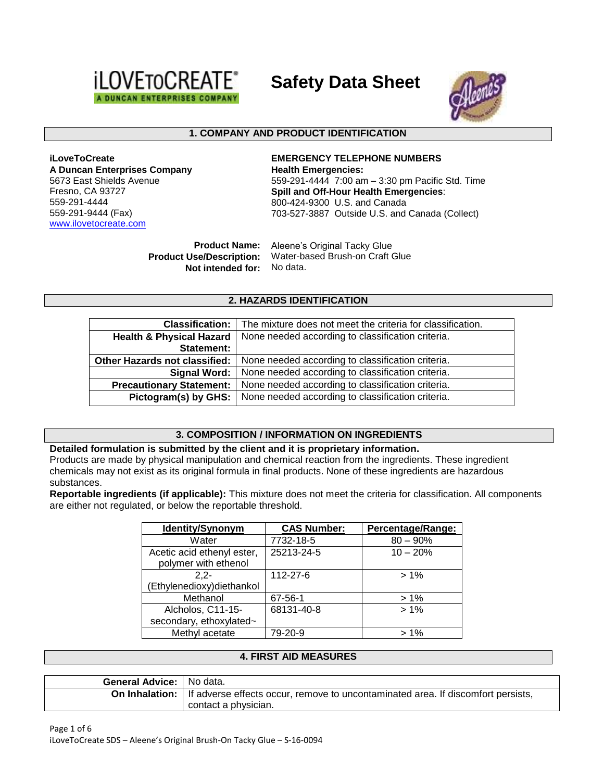

**Safety Data Sheet**



### **1. COMPANY AND PRODUCT IDENTIFICATION**

**iLoveToCreate A Duncan Enterprises Company** 5673 East Shields Avenue Fresno, CA 93727 559-291-4444 559-291-9444 (Fax) [www.ilovetocreate.com](http://www.ilovetocreate.com/)

**EMERGENCY TELEPHONE NUMBERS Health Emergencies:** 559-291-4444 7:00 am – 3:30 pm Pacific Std. Time **Spill and Off-Hour Health Emergencies**: 800-424-9300 U.S. and Canada 703-527-3887 Outside U.S. and Canada (Collect)

**Product Name:** Aleene's Original Tacky Glue **Product Use/Description:** Water-based Brush-on Craft Glue **Not intended for:** No data.

#### **2. HAZARDS IDENTIFICATION**

| The mixture does not meet the criteria for classification.<br><b>Classification:</b> |                                                                                     |  |
|--------------------------------------------------------------------------------------|-------------------------------------------------------------------------------------|--|
| Health & Physical Hazard                                                             | None needed according to classification criteria.                                   |  |
| <b>Statement:</b>                                                                    |                                                                                     |  |
|                                                                                      | Other Hazards not classified:   None needed according to classification criteria.   |  |
|                                                                                      | Signal Word:   None needed according to classification criteria.                    |  |
|                                                                                      | <b>Precautionary Statement:</b>   None needed according to classification criteria. |  |
|                                                                                      | Pictogram(s) by GHS:   None needed according to classification criteria.            |  |

### **3. COMPOSITION / INFORMATION ON INGREDIENTS**

#### **Detailed formulation is submitted by the client and it is proprietary information.**

Products are made by physical manipulation and chemical reaction from the ingredients. These ingredient chemicals may not exist as its original formula in final products. None of these ingredients are hazardous substances.

**Reportable ingredients (if applicable):** This mixture does not meet the criteria for classification. All components are either not regulated, or below the reportable threshold.

| Identity/Synonym                                   | <b>CAS Number:</b> | Percentage/Range: |  |
|----------------------------------------------------|--------------------|-------------------|--|
| Water                                              | 7732-18-5          | $80 - 90\%$       |  |
| Acetic acid ethenyl ester,<br>polymer with ethenol | 25213-24-5         | $10 - 20%$        |  |
| $2.2 -$                                            | 112-27-6           | $>1\%$            |  |
| Ethylenedioxy) diethankol                          |                    |                   |  |
| Methanol                                           | 67-56-1            | $>1\%$            |  |
| Alcholos, C11-15-                                  | 68131-40-8         | $>1\%$            |  |
| secondary, ethoxylated~                            |                    |                   |  |
| Methyl acetate                                     | 79-20-9            | $>1\%$            |  |

### **4. FIRST AID MEASURES**

| <b>General Advice:</b> No data. |                                                                                                        |
|---------------------------------|--------------------------------------------------------------------------------------------------------|
|                                 | <b>On Inhalation:</b> If adverse effects occur, remove to uncontaminated area. If discomfort persists, |
|                                 | contact a physician.                                                                                   |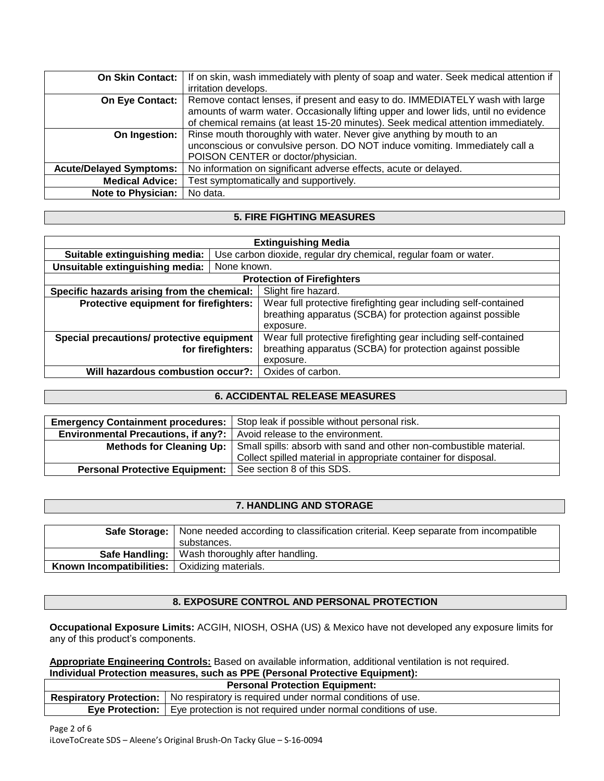| <b>On Skin Contact:</b>        | If on skin, wash immediately with plenty of soap and water. Seek medical attention if |
|--------------------------------|---------------------------------------------------------------------------------------|
|                                | irritation develops.                                                                  |
| On Eye Contact:                | Remove contact lenses, if present and easy to do. IMMEDIATELY wash with large         |
|                                | amounts of warm water. Occasionally lifting upper and lower lids, until no evidence   |
|                                | of chemical remains (at least 15-20 minutes). Seek medical attention immediately.     |
| On Ingestion:                  | Rinse mouth thoroughly with water. Never give anything by mouth to an                 |
|                                | unconscious or convulsive person. DO NOT induce vomiting. Immediately call a          |
|                                | POISON CENTER or doctor/physician.                                                    |
| <b>Acute/Delayed Symptoms:</b> | No information on significant adverse effects, acute or delayed.                      |
| <b>Medical Advice:</b>         | Test symptomatically and supportively.                                                |
| <b>Note to Physician:</b>      | No data.                                                                              |

## **5. FIRE FIGHTING MEASURES**

| <b>Extinguishing Media</b>                                         |                                                                  |                                                                 |  |  |
|--------------------------------------------------------------------|------------------------------------------------------------------|-----------------------------------------------------------------|--|--|
| Suitable extinguishing media:                                      | Use carbon dioxide, regular dry chemical, regular foam or water. |                                                                 |  |  |
| Unsuitable extinguishing media:                                    | None known.                                                      |                                                                 |  |  |
|                                                                    |                                                                  | <b>Protection of Firefighters</b>                               |  |  |
| Slight fire hazard.<br>Specific hazards arising from the chemical: |                                                                  |                                                                 |  |  |
| Protective equipment for firefighters:                             |                                                                  | Wear full protective firefighting gear including self-contained |  |  |
|                                                                    |                                                                  | breathing apparatus (SCBA) for protection against possible      |  |  |
|                                                                    |                                                                  | exposure.                                                       |  |  |
| Special precautions/ protective equipment                          |                                                                  | Wear full protective firefighting gear including self-contained |  |  |
| for firefighters:                                                  |                                                                  | breathing apparatus (SCBA) for protection against possible      |  |  |
|                                                                    |                                                                  | exposure.                                                       |  |  |
| Will hazardous combustion occur?:                                  |                                                                  | Oxides of carbon.                                               |  |  |

## **6. ACCIDENTAL RELEASE MEASURES**

|                                                                                | Emergency Containment procedures:   Stop leak if possible without personal risk.              |  |
|--------------------------------------------------------------------------------|-----------------------------------------------------------------------------------------------|--|
| <b>Environmental Precautions, if any?:</b>   Avoid release to the environment. |                                                                                               |  |
|                                                                                | Methods for Cleaning Up:   Small spills: absorb with sand and other non-combustible material. |  |
|                                                                                | Collect spilled material in appropriate container for disposal.                               |  |
| Personal Protective Equipment:   See section 8 of this SDS.                    |                                                                                               |  |

# **7. HANDLING AND STORAGE**

|                          | Safe Storage:   None needed according to classification criterial. Keep separate from incompatible |  |  |  |
|--------------------------|----------------------------------------------------------------------------------------------------|--|--|--|
|                          | substances.                                                                                        |  |  |  |
|                          | Safe Handling:   Wash thoroughly after handling.                                                   |  |  |  |
| Known Incompatibilities: | Oxidizing materials.                                                                               |  |  |  |

## **8. EXPOSURE CONTROL AND PERSONAL PROTECTION**

**Occupational Exposure Limits:** ACGIH, NIOSH, OSHA (US) & Mexico have not developed any exposure limits for any of this product's components.

**Appropriate Engineering Controls:** Based on available information, additional ventilation is not required. **Individual Protection measures, such as PPE (Personal Protective Equipment):**

| <b>Personal Protection Equipment:</b> |                                                                                             |  |  |
|---------------------------------------|---------------------------------------------------------------------------------------------|--|--|
|                                       | <b>Respiratory Protection:</b>   No respiratory is required under normal conditions of use. |  |  |
|                                       | <b>Eve Protection:</b>   Eye protection is not required under normal conditions of use.     |  |  |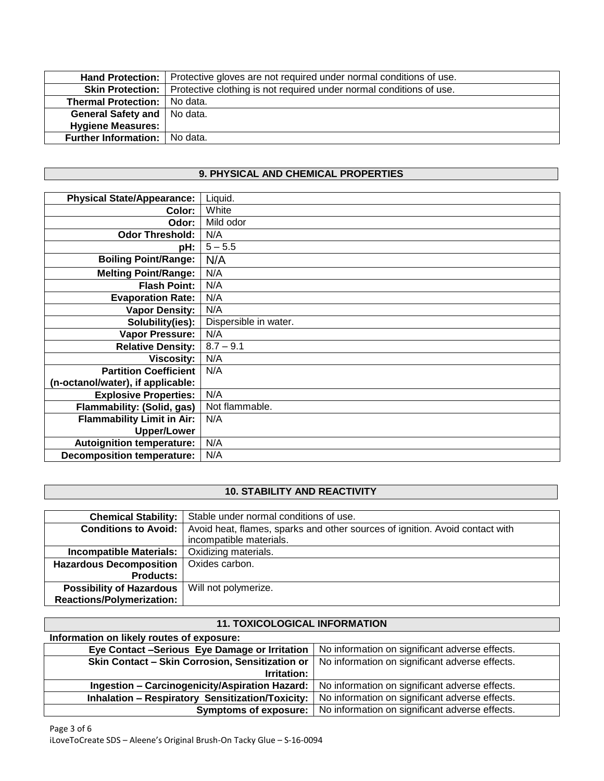|                                        | Hand Protection:   Protective gloves are not required under normal conditions of use.  |
|----------------------------------------|----------------------------------------------------------------------------------------|
|                                        | Skin Protection:   Protective clothing is not required under normal conditions of use. |
| Thermal Protection:   No data.         |                                                                                        |
| General Safety and   No data.          |                                                                                        |
| Hygiene Measures:                      |                                                                                        |
| <b>Further Information:</b>   No data. |                                                                                        |
|                                        |                                                                                        |

# **9. PHYSICAL AND CHEMICAL PROPERTIES**

| <b>Physical State/Appearance:</b> | Liquid.               |
|-----------------------------------|-----------------------|
| Color:                            | White                 |
|                                   | Mild odor             |
| Odor:                             |                       |
| <b>Odor Threshold:</b>            | N/A                   |
| pH:                               | $5 - 5.5$             |
| <b>Boiling Point/Range:</b>       | N/A                   |
| <b>Melting Point/Range:</b>       | N/A                   |
| <b>Flash Point:</b>               | N/A                   |
| <b>Evaporation Rate:</b>          | N/A                   |
| <b>Vapor Density:</b>             | N/A                   |
| Solubility(ies):                  | Dispersible in water. |
| <b>Vapor Pressure:</b>            | N/A                   |
| <b>Relative Density:</b>          | $8.7 - 9.1$           |
| <b>Viscosity:</b>                 | N/A                   |
| <b>Partition Coefficient</b>      | N/A                   |
| (n-octanol/water), if applicable: |                       |
| <b>Explosive Properties:</b>      | N/A                   |
| Flammability: (Solid, gas)        | Not flammable.        |
| <b>Flammability Limit in Air:</b> | N/A                   |
| <b>Upper/Lower</b>                |                       |
| <b>Autoignition temperature:</b>  | N/A                   |
| <b>Decomposition temperature:</b> | N/A                   |

## **10. STABILITY AND REACTIVITY**

| <b>Chemical Stability:</b>       | Stable under normal conditions of use.                                       |  |  |
|----------------------------------|------------------------------------------------------------------------------|--|--|
| <b>Conditions to Avoid:</b>      | Avoid heat, flames, sparks and other sources of ignition. Avoid contact with |  |  |
|                                  | incompatible materials.                                                      |  |  |
| Incompatible Materials:          | Oxidizing materials.                                                         |  |  |
| Hazardous Decomposition          | Oxides carbon.                                                               |  |  |
| <b>Products:</b>                 |                                                                              |  |  |
| <b>Possibility of Hazardous</b>  | Will not polymerize.                                                         |  |  |
| <b>Reactions/Polymerization:</b> |                                                                              |  |  |

#### **11. TOXICOLOGICAL INFORMATION Information on likely routes of exposure: Eye Contact -Serious Eye Damage or Irritation** | No information on significant adverse effects. **Skin Contact – Skin Corrosion, Sensitization or Irritation:** No information on significant adverse effects. **Ingestion – Carcinogenicity/Aspiration Hazard:** No information on significant adverse effects. **Inhalation – Respiratory Sensitization/Toxicity:** No information on significant adverse effects. **Symptoms of exposure:** No information on significant adverse effects.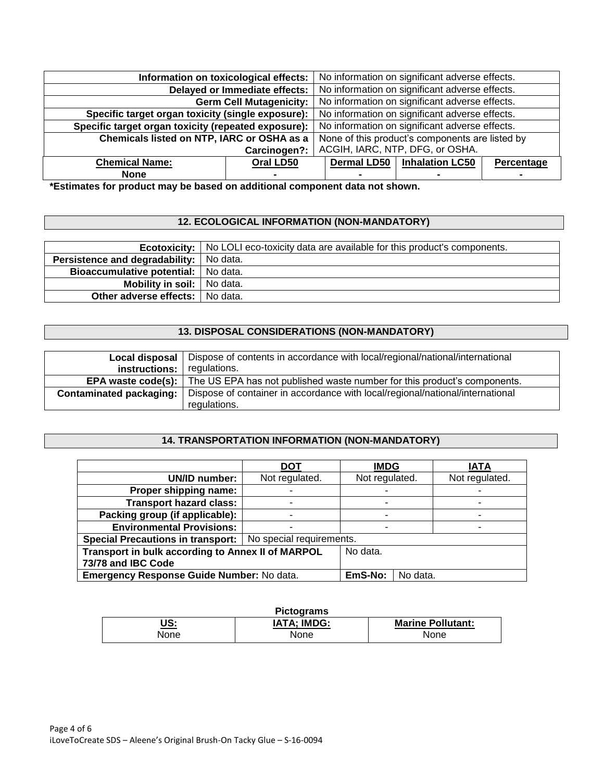| Information on toxicological effects:               |                                | No information on significant adverse effects.  |                        |            |
|-----------------------------------------------------|--------------------------------|-------------------------------------------------|------------------------|------------|
| Delayed or Immediate effects:                       |                                | No information on significant adverse effects.  |                        |            |
|                                                     | <b>Germ Cell Mutagenicity:</b> | No information on significant adverse effects.  |                        |            |
| Specific target organ toxicity (single exposure):   |                                | No information on significant adverse effects.  |                        |            |
| Specific target organ toxicity (repeated exposure): |                                | No information on significant adverse effects.  |                        |            |
| Chemicals listed on NTP, IARC or OSHA as a          |                                | None of this product's components are listed by |                        |            |
| Carcinogen?:                                        |                                | ACGIH, IARC, NTP, DFG, or OSHA.                 |                        |            |
| <b>Chemical Name:</b>                               | Oral LD50                      | <b>Dermal LD50</b>                              | <b>Inhalation LC50</b> | Percentage |
| <b>None</b>                                         |                                |                                                 |                        |            |

**\*Estimates for product may be based on additional component data not shown.**

# **12. ECOLOGICAL INFORMATION (NON-MANDATORY)**

|                                           | <b>Ecotoxicity:</b> No LOLI eco-toxicity data are available for this product's components. |
|-------------------------------------------|--------------------------------------------------------------------------------------------|
| Persistence and degradability:   No data. |                                                                                            |
| Bioaccumulative potential:   No data.     |                                                                                            |
| <b>Mobility in soil:</b> No data.         |                                                                                            |
| Other adverse effects:   No data.         |                                                                                            |

## **13. DISPOSAL CONSIDERATIONS (NON-MANDATORY)**

| Local disposal                 | Dispose of contents in accordance with local/regional/national/international  |  |  |
|--------------------------------|-------------------------------------------------------------------------------|--|--|
| instructions:                  | regulations.                                                                  |  |  |
| EPA waste code(s):             | The US EPA has not published waste number for this product's components.      |  |  |
| <b>Contaminated packaging:</b> | Dispose of container in accordance with local/regional/national/international |  |  |
|                                | regulations.                                                                  |  |  |

# **14. TRANSPORTATION INFORMATION (NON-MANDATORY)**

|                                                              | <b>DOT</b>     | <b>IMDG</b>    |  | <b>IATA</b>    |
|--------------------------------------------------------------|----------------|----------------|--|----------------|
| UN/ID number:                                                | Not regulated. | Not regulated. |  | Not regulated. |
| Proper shipping name:                                        |                |                |  |                |
| <b>Transport hazard class:</b>                               |                |                |  |                |
| Packing group (if applicable):                               |                |                |  |                |
| <b>Environmental Provisions:</b>                             |                |                |  |                |
| Special Precautions in transport:   No special requirements. |                |                |  |                |
| Transport in bulk according to Annex II of MARPOL            | No data.       |                |  |                |
| 73/78 and IBC Code                                           |                |                |  |                |
| Emergency Response Guide Number: No data.                    | EmS-No:        | No data.       |  |                |

| <b>Pictograms</b> |                    |                          |  |  |
|-------------------|--------------------|--------------------------|--|--|
| US:               | <b>IATA: IMDG:</b> | <b>Marine Pollutant:</b> |  |  |
| None              | None               | <b>None</b>              |  |  |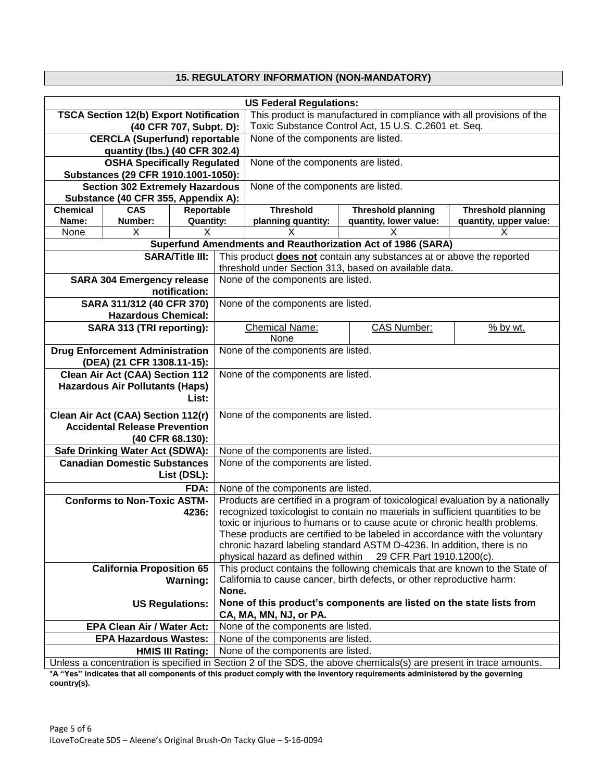# **15. REGULATORY INFORMATION (NON-MANDATORY)**

|                                               | <b>US Federal Regulations:</b>                                                                                    |                                    |                                                                                                                               |                                                                        |                                                                                 |                           |  |
|-----------------------------------------------|-------------------------------------------------------------------------------------------------------------------|------------------------------------|-------------------------------------------------------------------------------------------------------------------------------|------------------------------------------------------------------------|---------------------------------------------------------------------------------|---------------------------|--|
|                                               |                                                                                                                   |                                    |                                                                                                                               |                                                                        |                                                                                 |                           |  |
| <b>TSCA Section 12(b) Export Notification</b> |                                                                                                                   |                                    | This product is manufactured in compliance with all provisions of the<br>Toxic Substance Control Act, 15 U.S. C.2601 et. Seq. |                                                                        |                                                                                 |                           |  |
| (40 CFR 707, Subpt. D):                       |                                                                                                                   |                                    |                                                                                                                               |                                                                        |                                                                                 |                           |  |
| <b>CERCLA (Superfund) reportable</b>          |                                                                                                                   | None of the components are listed. |                                                                                                                               |                                                                        |                                                                                 |                           |  |
| quantity (lbs.) (40 CFR 302.4)                |                                                                                                                   |                                    |                                                                                                                               |                                                                        |                                                                                 |                           |  |
|                                               | <b>OSHA Specifically Regulated</b>                                                                                |                                    |                                                                                                                               | None of the components are listed.                                     |                                                                                 |                           |  |
|                                               | Substances (29 CFR 1910.1001-1050):                                                                               |                                    |                                                                                                                               |                                                                        |                                                                                 |                           |  |
|                                               | <b>Section 302 Extremely Hazardous</b>                                                                            |                                    |                                                                                                                               | None of the components are listed.                                     |                                                                                 |                           |  |
|                                               | Substance (40 CFR 355, Appendix A):                                                                               |                                    |                                                                                                                               |                                                                        |                                                                                 |                           |  |
| <b>Chemical</b>                               | <b>CAS</b>                                                                                                        | Reportable                         |                                                                                                                               | <b>Threshold</b>                                                       | <b>Threshold planning</b>                                                       | <b>Threshold planning</b> |  |
| Name:                                         | Number:                                                                                                           | <b>Quantity:</b>                   |                                                                                                                               | planning quantity:                                                     | quantity, lower value:                                                          | quantity, upper value:    |  |
| None                                          | X                                                                                                                 | x                                  |                                                                                                                               |                                                                        |                                                                                 | х                         |  |
|                                               |                                                                                                                   |                                    |                                                                                                                               |                                                                        | Superfund Amendments and Reauthorization Act of 1986 (SARA)                     |                           |  |
|                                               |                                                                                                                   | <b>SARA/Title III:</b>             |                                                                                                                               |                                                                        | This product does not contain any substances at or above the reported           |                           |  |
|                                               |                                                                                                                   |                                    |                                                                                                                               |                                                                        | threshold under Section 313, based on available data.                           |                           |  |
|                                               | <b>SARA 304 Emergency release</b>                                                                                 |                                    |                                                                                                                               | None of the components are listed.                                     |                                                                                 |                           |  |
|                                               |                                                                                                                   | notification:                      |                                                                                                                               |                                                                        |                                                                                 |                           |  |
|                                               | SARA 311/312 (40 CFR 370)                                                                                         |                                    |                                                                                                                               | None of the components are listed.                                     |                                                                                 |                           |  |
|                                               | <b>Hazardous Chemical:</b>                                                                                        |                                    |                                                                                                                               |                                                                        |                                                                                 |                           |  |
|                                               | SARA 313 (TRI reporting):                                                                                         |                                    |                                                                                                                               | <b>Chemical Name:</b>                                                  | <b>CAS Number:</b>                                                              | $%$ by wt.                |  |
|                                               |                                                                                                                   |                                    |                                                                                                                               | None                                                                   |                                                                                 |                           |  |
| <b>Drug Enforcement Administration</b>        |                                                                                                                   |                                    |                                                                                                                               | None of the components are listed.                                     |                                                                                 |                           |  |
| (DEA) (21 CFR 1308.11-15):                    |                                                                                                                   |                                    |                                                                                                                               |                                                                        |                                                                                 |                           |  |
| <b>Clean Air Act (CAA) Section 112</b>        |                                                                                                                   |                                    |                                                                                                                               | None of the components are listed.                                     |                                                                                 |                           |  |
| <b>Hazardous Air Pollutants (Haps)</b>        |                                                                                                                   |                                    |                                                                                                                               |                                                                        |                                                                                 |                           |  |
| List:                                         |                                                                                                                   |                                    |                                                                                                                               |                                                                        |                                                                                 |                           |  |
|                                               |                                                                                                                   |                                    |                                                                                                                               |                                                                        |                                                                                 |                           |  |
| Clean Air Act (CAA) Section 112(r)            |                                                                                                                   |                                    |                                                                                                                               | None of the components are listed.                                     |                                                                                 |                           |  |
| <b>Accidental Release Prevention</b>          |                                                                                                                   |                                    |                                                                                                                               |                                                                        |                                                                                 |                           |  |
| (40 CFR 68.130):                              |                                                                                                                   |                                    |                                                                                                                               |                                                                        |                                                                                 |                           |  |
|                                               | Safe Drinking Water Act (SDWA):                                                                                   |                                    |                                                                                                                               | None of the components are listed.                                     |                                                                                 |                           |  |
|                                               | <b>Canadian Domestic Substances</b>                                                                               |                                    |                                                                                                                               | None of the components are listed.                                     |                                                                                 |                           |  |
|                                               |                                                                                                                   | List (DSL):                        |                                                                                                                               |                                                                        |                                                                                 |                           |  |
|                                               |                                                                                                                   | FDA:                               |                                                                                                                               | None of the components are listed.                                     |                                                                                 |                           |  |
|                                               | <b>Conforms to Non-Toxic ASTM-</b>                                                                                |                                    |                                                                                                                               |                                                                        | Products are certified in a program of toxicological evaluation by a nationally |                           |  |
|                                               |                                                                                                                   | 4236:                              |                                                                                                                               |                                                                        | recognized toxicologist to contain no materials in sufficient quantities to be  |                           |  |
|                                               |                                                                                                                   |                                    |                                                                                                                               |                                                                        | toxic or injurious to humans or to cause acute or chronic health problems.      |                           |  |
|                                               |                                                                                                                   |                                    |                                                                                                                               |                                                                        | These products are certified to be labeled in accordance with the voluntary     |                           |  |
|                                               |                                                                                                                   |                                    |                                                                                                                               |                                                                        | chronic hazard labeling standard ASTM D-4236. In addition, there is no          |                           |  |
|                                               |                                                                                                                   |                                    |                                                                                                                               | physical hazard as defined within<br>29 CFR Part 1910.1200(c).         |                                                                                 |                           |  |
|                                               | <b>California Proposition 65</b>                                                                                  |                                    | This product contains the following chemicals that are known to the State of                                                  |                                                                        |                                                                                 |                           |  |
|                                               |                                                                                                                   | <b>Warning:</b>                    |                                                                                                                               | California to cause cancer, birth defects, or other reproductive harm: |                                                                                 |                           |  |
|                                               |                                                                                                                   |                                    |                                                                                                                               | None.                                                                  |                                                                                 |                           |  |
|                                               |                                                                                                                   | <b>US Regulations:</b>             |                                                                                                                               |                                                                        | None of this product's components are listed on the state lists from            |                           |  |
|                                               |                                                                                                                   |                                    |                                                                                                                               | CA, MA, MN, NJ, or PA.                                                 |                                                                                 |                           |  |
|                                               | <b>EPA Clean Air / Water Act:</b>                                                                                 |                                    |                                                                                                                               | None of the components are listed.                                     |                                                                                 |                           |  |
|                                               | <b>EPA Hazardous Wastes:</b>                                                                                      |                                    |                                                                                                                               | None of the components are listed.                                     |                                                                                 |                           |  |
|                                               | None of the components are listed.<br><b>HMIS III Rating:</b>                                                     |                                    |                                                                                                                               |                                                                        |                                                                                 |                           |  |
|                                               | Unless a concentration is specified in Section 2 of the SDS, the above chemicals(s) are present in trace amounts. |                                    |                                                                                                                               |                                                                        |                                                                                 |                           |  |

**\*A "Yes" indicates that all components of this product comply with the inventory requirements administered by the governing country(s).**